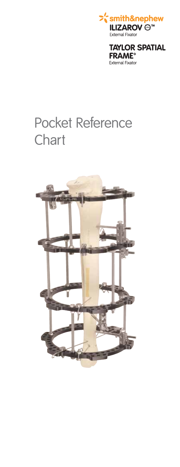

**TAYLOR SPATIAL FRAME<sup>®</sup> External Fixator** 

# Pocket Reference **Chart**

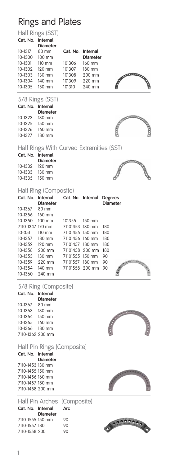# Rings and Plates

Half Rings (SST)

|  | Cat. No. Internal |
|--|-------------------|
|  | Diamatau          |

|         | <b>Diameter</b>  |                   |                 |
|---------|------------------|-------------------|-----------------|
| 10-1317 | 80 mm            | Cat. No. Internal |                 |
| 10-1300 | $100 \text{ mm}$ |                   | <b>Diameter</b> |
| 10-1301 | $110 \text{ mm}$ | 101306            | 160 mm          |
| 10-1302 | 120 mm           | 101307            | 180 mm          |
| 10-1303 | 130 mm           | 101308            | 200 mm          |
| 10-1304 | 140 mm           | 101309            | 220 mm          |
| 10-1305 | $150 \text{ mm}$ | 101310            | 240 mm          |

5/8 Rings (SST)

| Cat. No. | <b>Internal</b> |
|----------|-----------------|
|          | Diameter        |
| 10-1323  | 130 mm          |
| 10-1325  | 150 mm          |
| 10-1326  | 160 mm          |
| 10-1327  | 180 mm          |
|          |                 |



# Half Rings With Curved Extremities (SST)

| Cat. No. Internal |                 |
|-------------------|-----------------|
|                   | <b>Diameter</b> |
| 10-1332 120 mm    |                 |
| 10-1333 130 mm    |                 |
| 10-1335 150 mm    |                 |

Half Ring (Composite)

| 1.1911111171120111700011011 |                                                                |                 |  |                 |  |
|-----------------------------|----------------------------------------------------------------|-----------------|--|-----------------|--|
|                             | Cat. No. Internal Cat. No. Internal Degrees<br><b>Diameter</b> |                 |  | <b>Diameter</b> |  |
| 10-1367 80 mm               |                                                                |                 |  |                 |  |
| 10-1356 160 mm              |                                                                |                 |  |                 |  |
| 10-1350 100 mm              |                                                                | 101355 150 mm   |  |                 |  |
|                             | 7110-1347 170 mm                                               | 71101453 130 mm |  | 180             |  |
| 10-351                      | 110 mm 71101455 150 mm                                         |                 |  | 180             |  |
| 10-1357 180 mm              |                                                                | 71101456 160 mm |  | 180             |  |
|                             | 10-1352 120 mm                                                 | 71101457 180 mm |  | 180             |  |
| 10-1358                     | 200 mm                                                         | 71101458 200 mm |  | 180             |  |
| 10-1353                     | $130$ mm                                                       | 71101555 150 mm |  | 90              |  |
| 10-1359                     | 220 mm                                                         | 71101557 180 mm |  | 90              |  |
|                             | 10-1354 140 mm 71101558 200 mm                                 |                 |  | 90              |  |
| 10-1360                     | 240 mm                                                         |                 |  |                 |  |
|                             |                                                                |                 |  |                 |  |

## 5/8 Ring (Composite)

| Cat. No.         | Internal |
|------------------|----------|
|                  | Diameter |
| 10-1367          | 80 mm    |
| 10-1363          | 130 mm   |
| 10-1364          | 150 mm   |
| 10-1365          | 160 mm   |
| 10-1366          | 180 mm   |
| 7110-1362 200 mm |          |

|--|

| Half Pin Rings (Composite) |          |  |  |
|----------------------------|----------|--|--|
| Cat. No. Internal          |          |  |  |
|                            | Diameter |  |  |
| 7110-1453 130 mm           |          |  |  |
| 7110-1455 150 mm           |          |  |  |
| 7110-1456 160 mm           |          |  |  |
| 7110-1457 180 mm           |          |  |  |
| 7110-1458 200 mm           |          |  |  |
|                            |          |  |  |



|                   |          | Half Pin Arches (Composite) |
|-------------------|----------|-----------------------------|
| Cat. No. Internal |          | Arc                         |
|                   | Diameter |                             |
| 7110-1555 150 mm  |          | 90                          |
| 7110-1557 180     |          | 90                          |
| 7110-1558 200     |          | 90                          |

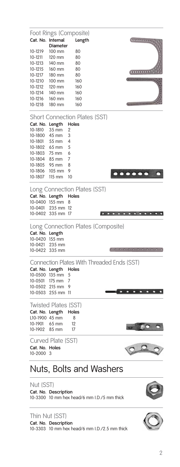Foot Rings (Composite) **Cat. No. Internal Length**   $\ldots, \ldots, \ldots$ **Diameter** 10-1219 100 mm 80 10-1211 120 mm 80<br>10-1213 140 mm 80 10-1213 140 mm 80<br>10-1215 160 mm 80 160 mm  $(1111111111)$ 10-1217 180 mm 80<br>10-1210 100 mm 160 100 mm 160 10-1212 120 mm 160 10-1214 140 mm 160<br>10-1216 160 mm 160 10-1216 160 mm 160<br>10-1218 180 mm 160 (\*\*\*\*\*\*\*\*\*\*\*\*\*\*\*\*\*\*\* 180 mm Short Connection Plates (SST) **Cat. No. Length Holes**<br>10-1810 35 mm 2 10-1810 35 mm 2<br>10-1800 45 mm 3  $45 \text{ mm}$  3<br>55 mm 4 10-1801 55 mm 4 10-1802 65 mm 5 75 mm 6<br>85 mm 7 10-1804 85 mm 7 10-1805 10-1806 105 mm 9<br>10-1807 115 mm 10  $0.000000$ 10-1807 115 mm 10 Long Connection Plates (SST) **Cat. No. Length Holes** 10-0400 155 mm 8 10-0401 235 mm 12 10-0402 335 mm 17 **. . . . . . . . . . . .** Long Connection Plates (Composite) **Cat. No. Length** 10-0420 155 mm 10-0421 235 mm . . . . . . . . . . . . . 10-0422 335 mm Connection Plates With Threaded Ends (SST)<br>Cat. No. Length Holes Cat. No. Length 10-0500 135 mm 5<br>10-0501 175 mm 7 10-0501 175 mm 7 10-0502 215 mm 9  $- - - - - - - -$ 10-0503 255 mm 11 Twisted Plates (SST) **Cat. No. Length Holes** L10-1900 45 mm 8<br>10-1901 65 mm 12 10-1901 65 mm<br>10-1902 85 mm 85 mm 17 Curved Plate (SST) **Cat. No. Holes** 10-2000 3

# Nuts, Bolts and Washers

#### Nut (SST)

**Cat. No. Description** 10-3300 10 mm hex head/6 mm I.D./5 mm thick

### Thin Nut (SST)

**Cat. No. Description** 10-3303 10 mm hex head/6 mm I.D./2.5 mm thick

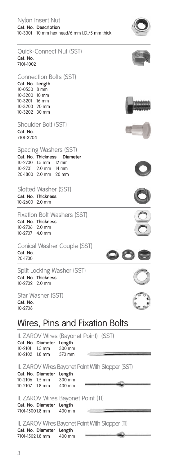| Nylon Insert Nut |                                             |  |  |
|------------------|---------------------------------------------|--|--|
|                  | Cat. No. Description                        |  |  |
|                  | 10-3301 10 mm hex head/6 mm I.D./5 mm thick |  |  |



| <b>Ouick-Connect Nut (SST)</b><br>Cat. No.<br>7101-1002                                                                              |                                                                                      |     |
|--------------------------------------------------------------------------------------------------------------------------------------|--------------------------------------------------------------------------------------|-----|
| <b>Connection Bolts (SST)</b><br>Cat. No. Length<br>10-0550 8 mm<br>10-3200 10 mm<br>10-3201 16 mm<br>10-3203 20 mm<br>10-3202 30 mm |                                                                                      |     |
| Shoulder Bolt (SST)<br>Cat. No.<br>7101-3204                                                                                         |                                                                                      |     |
| Spacing Washers (SST)<br>Cat. No. Thickness<br>10-2700 1.5 mm<br>10-2701 2.0 mm 14 mm<br>20-1800 2.0 mm 20 mm                        | <b>Diameter</b><br>$12 \text{ mm}$                                                   |     |
| Slotted Washer (SST)<br>Cat. No. Thickness<br>10-2600 2.0 mm                                                                         |                                                                                      |     |
| <b>Fixation Bolt Washers (SST)</b><br>Cat. No. Thickness<br>10-2706<br>$2.0$ mm<br>10-2707<br>$4.0$ mm                               |                                                                                      |     |
| Conical Washer Couple (SST)<br>Cat. No.<br>20-1700                                                                                   |                                                                                      |     |
| Split Locking Washer (SST)<br>Cat. No. Thickness<br>10-2702<br>$2.0$ mm                                                              |                                                                                      |     |
| Star Washer (SST)<br>Cat. No.<br>10-2708                                                                                             |                                                                                      | سمع |
|                                                                                                                                      | Wires, Pins and Fixation Bolts                                                       |     |
| Cat. No. Diameter<br>10-2101<br>$1.5 \text{ mm}$<br>10-2102<br>$1.8 \text{ mm}$                                                      | ILIZAROV Wires (Bayonet Point) (SST)<br>Length<br>300 mm<br>370 mm                   |     |
| Cat. No. Diameter<br>10-2106<br>$1.5 \text{ mm}$<br>10-2107<br>$1.8 \text{ mm}$                                                      | <b>ILIZAROV Wires Bayonet Point With Stopper (SST)</b><br>Length<br>300 mm<br>400 mm |     |
| Cat. No. Diameter<br>7101-15001.8 mm                                                                                                 | ILIZAROV Wires Bayonet Point (TI)<br>Length<br>400 mm                                |     |
| Cat. No. Diameter Length                                                                                                             | ILIZAROV Wires Bayonet Point With Stopper (TI)                                       |     |

7101-1502 1.8 mm 400 mm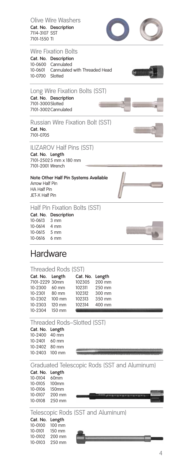

**Cat. No. Description** 7114-3107 SST 7101-1550 TI

Olive Wire Washers



10-0100<br>10-0101 10-0101 150 mm<br>10-0102 200 mm 10-0102 200 mm<br>10-0103 250 mm 250 mm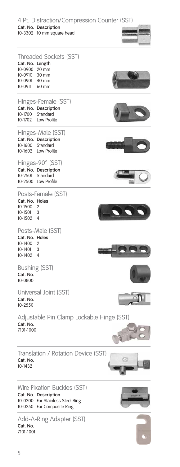4 Pt. Distraction/Compression Counter (SST)

#### **Cat. No. Description**

10-3302 10 mm square head



| Cat. No. Length<br>10-0900<br>10-0910<br>10-0901<br>10-0911 | <b>Threaded Sockets (SST)</b><br>20 mm<br>30 mm<br>40 mm<br>$60 \text{ mm}$   |                                           |
|-------------------------------------------------------------|-------------------------------------------------------------------------------|-------------------------------------------|
| 10-1700<br>10-1702                                          | Hinges-Female (SST)<br>Cat. No. Description<br>Standard<br><b>Low Profile</b> |                                           |
| 10-1600<br>10-1602                                          | Hinges-Male (SST)<br>Cat. No. Description<br>Standard<br>Low Profile          | alimialalala                              |
| 10-2501                                                     | Hinges-90° (SST)<br>Cat. No. Description<br>Standard<br>10-2500 Low Profile   |                                           |
| Cat. No. Holes<br>10-1500<br>10-1501<br>10-1502             | Posts-Female (SST)<br>2<br>3<br>4                                             |                                           |
| Cat. No. Holes<br>10-1400<br>10-1401<br>10-1402             | Posts-Male (SST)<br>2<br>3<br>4                                               |                                           |
| Cat. No.<br>10-0800                                         | <b>Bushing (SST)</b>                                                          |                                           |
| Cat. No.<br>10-2550                                         | Universal Joint (SST)                                                         |                                           |
| Cat. No.<br>7101-1000                                       |                                                                               | Adjustable Pin Clamp Lockable Hinge (SST) |
| Cat. No.<br>10-1432                                         | Translation / Rotation Device (SST)                                           |                                           |
|                                                             | Wire Fixation Buckles (SST)<br>Cat. No. Description                           |                                           |

**Cat. No.** 7101-1001

10-0200 For Stainless Steel Ring 10-0250 For Composite Ring

Add-A-Ring Adapter (SST)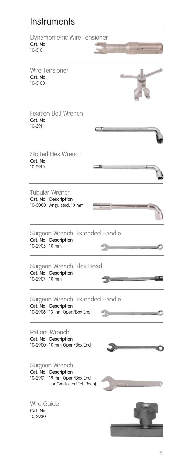# Instruments

| Cat. No.<br>10-3101               | Dynamometric Wire Tensioner                                                               |  |
|-----------------------------------|-------------------------------------------------------------------------------------------|--|
| Cat. No.<br>10-3100               | <b>Wire Tensioner</b>                                                                     |  |
| Cat. No.<br>10-2911               | <b>Fixation Bolt Wrench</b>                                                               |  |
| Cat. No.<br>10-2910               | <b>Slotted Hex Wrench</b>                                                                 |  |
|                                   | <b>Tubular Wrench</b><br>Cat. No. Description<br>10-3000 Angulated, 10 mm                 |  |
| 10-2905 10 mm                     | Surgeon Wrench, Extended Handle<br>Cat. No. Description                                   |  |
| 10-2907 10 mm                     | Surgeon Wrench, Flex Head<br>Cat. No. Description                                         |  |
|                                   | Surgeon Wrench, Extended Handle<br>Cat. No. Description<br>10-2906 13 mm Open/Box End     |  |
|                                   | <b>Patient Wrench</b><br>Cat. No. Description<br>10-2900 10 mm Open/Box End               |  |
| 10-2901                           | Surgeon Wrench<br>Cat. No. Description<br>19 mm Open/Box End<br>(for Graduated Tel. Rods) |  |
| Wire Guide<br>Cat. No.<br>10-2930 |                                                                                           |  |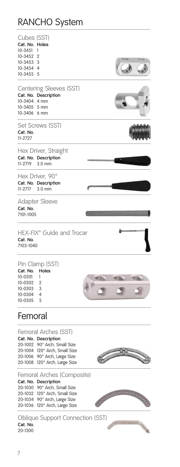# RANCHO System

| Cubes (SST)               |                                |  |
|---------------------------|--------------------------------|--|
| Cat. No. Holes<br>10-3451 | 1                              |  |
| 10-3452 2                 |                                |  |
| 10-3453 3                 |                                |  |
| 10-3454 4                 |                                |  |
| 10-3455 5                 |                                |  |
|                           | <b>Centering Sleeves (SST)</b> |  |
|                           | Cat. No. Description           |  |
| 10-3404 4 mm              |                                |  |
| 10-3405 5 mm              |                                |  |
| 10-3406 6 mm              |                                |  |
|                           | Set Screws (SST)               |  |
| Cat. No.<br>11-2727       |                                |  |
|                           | Hex Driver, Straight           |  |
|                           | Cat. No. Description           |  |
| 11-2719                   | $3.0$ mm                       |  |
|                           | Hex Driver, 90°                |  |
|                           | Cat. No. Description           |  |
| 11-2717                   | $3.0$ mm                       |  |
|                           | <b>Adapter Sleeve</b>          |  |
| Cat. No.                  |                                |  |
| 7101-1005                 |                                |  |
|                           | HEX-FIX° Guide and Trocar      |  |
| Cat. No.                  |                                |  |
| 7103-1040                 |                                |  |
|                           | Pin Clamp (SST)                |  |
| Cat. No.                  | Holes                          |  |
| 10-0301                   | 1                              |  |
| 10-0302                   | $\overline{2}$                 |  |
| 10-0303                   | 3                              |  |
| 10-0304                   | 4                              |  |
| 10-0305                   | 5                              |  |

# Femoral

Femoral Arches (SST)

**Cat. No. Description** 20-1002 90° Arch, Small Size 20-1004 120° Arch, Small Size 20-1006 90° Arch, Large Size 20-1008 120° Arch, Large Size



**CONTRACTOR** 

Femoral Arches (Composite)

**Cat. No. Description** 20-1030 90° Arch, Small Size 20-1032 120° Arch, Small Size 20-1034 90° Arch, Large Size 20-1036 120° Arch, Large Size

Oblique Support Connection (SST) **Cat. No.** 20-1300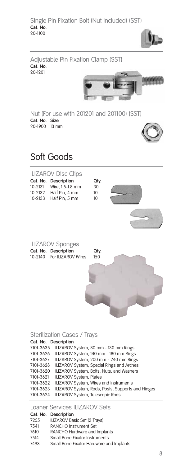



7101-3621 ILIZAROV System, Plates<br>7101-3622 ILIZAROV System, Wires

7101-3622 ILIZAROV System, Wires and Instruments<br>7101-3623 ILIZAROV System, Rods, Posts, Supports

ILIZAROV System, Rods, Posts, Supports and Hinges

7101-3624 ILIZAROV System, Telescopic Rods

Loaner Services ILIZAROV Sets

| Cat. No. Description                     |
|------------------------------------------|
| ILIZAROV Basic Set (2 Trays)             |
| <b>RANCHO Instrument Set</b>             |
| RANCHO Hardware and Implants             |
| Small Bone Fixator Instruments           |
| Small Bone Fixator Hardware and Implants |
|                                          |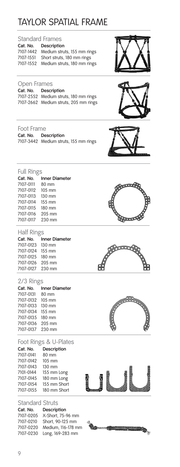# TAYLOR SPATIAL FRAME

| <b>Standard Frames</b> |                                       |  |
|------------------------|---------------------------------------|--|
|                        | Cat. No. Description                  |  |
| 7107-1442              | Medium struts, 155 mm rings           |  |
| 7107-1551              | Short struts, 180 mm rings            |  |
|                        | 7107-1552 Medium struts, 180 mm rings |  |
|                        |                                       |  |

#### Open Frames

**Cat. No. Description** 7107-2552 Medium struts, 180 mm rings 7107-2662 Medium struts, 205 mm rings

### Foot Frame

**Cat. No. Description** 7107-3442 Medium struts, 155 mm rings







aaal

| <b>Full Rings</b> |                       |  |
|-------------------|-----------------------|--|
| Cat. No.          | <b>Inner Diameter</b> |  |
| 7107-0111 80 mm   |                       |  |
| 7107-0112 105 mm  |                       |  |
| 7107-0113         | $130 \text{ mm}$      |  |
| 7107-0114 155 mm  |                       |  |
| 7107-0115 180 mm  |                       |  |
| 7107-0116 205 mm  |                       |  |
| 7107-0117 230 mm  |                       |  |

#### Half Rings

|                  | Cat. No. Inner Diameter |
|------------------|-------------------------|
| 7107-0123 130 mm |                         |
| 7107-0124 155 mm |                         |
| 7107-0125 180 mm |                         |
| 7107-0126 205 mm |                         |
| 7107-0127 230 mm |                         |
|                  |                         |

#### 2/3 Rings

| Cat. No.         | <b>Inner Diameter</b> |
|------------------|-----------------------|
| 7107-0131 80 mm  |                       |
| 7107-0132 105 mm |                       |
| 7107-0133 130 mm |                       |
| 7107-0134 155 mm |                       |
| 7107-0135 180 mm |                       |
| 7107-0136 205 mm |                       |
| 7107-0137 230 mm |                       |
|                  |                       |

### Foot Rings & U-Plates

| Cat. No.  | Description      |
|-----------|------------------|
| 7107-0141 | 80 mm            |
| 7107-0142 | $105 \text{ mm}$ |
| 7107-0143 | 130 mm           |
| 7101-0144 | 155 mm Long      |
| 7107-0145 | 180 mm Long      |
| 7107-0154 | 155 mm Short     |
| 7107-0155 | 180 mm Short     |
|           |                  |

#### Standard Struts

| <b>Description</b> |
|--------------------|
| X-Short, 75-96 mm  |
| Short, 90-125 mm   |
| Medium, 116-178 mm |
| Long, 169-283 mm   |
|                    |





**Comma Rendi** 細眼

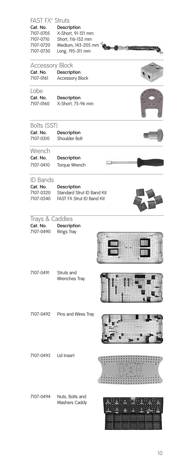| FAST FX° Struts<br>Cat. No.                     | Description                                                           |  |
|-------------------------------------------------|-----------------------------------------------------------------------|--|
| 7107-0705<br>7107-0710<br>7107-0720             | X-Short, 91-121 mm<br>Short, 116-152 mm<br>Medium, 143-205 mm         |  |
| 7107-0730                                       | Long, 195-311 mm                                                      |  |
| <b>Accessory Block</b><br>Cat. No.<br>7107-0161 | Description<br><b>Accessory Block</b>                                 |  |
| Lobe<br>Cat. No.<br>7107-0160                   | Description<br>X-Short, 75-96 mm                                      |  |
| Bolts (SST)                                     |                                                                       |  |
| Cat. No.<br>7107-0310                           | Description<br>Shoulder Bolt                                          |  |
| Wrench                                          |                                                                       |  |
| Cat. No.<br>7107-0410                           | Description<br>Torque Wrench                                          |  |
| <b>ID Bands</b>                                 |                                                                       |  |
| Cat. No.                                        | Description                                                           |  |
| 7107-0320<br>7107-0340                          | <b>Standard Strut ID Band Kit</b><br><b>FAST FX Strut ID Band Kit</b> |  |
|                                                 |                                                                       |  |
| Trays & Caddies                                 |                                                                       |  |
| Cat. No.<br>7107-0490                           | Description<br><b>Rings Tray</b>                                      |  |
|                                                 |                                                                       |  |
| 7107-0491                                       | Struts and<br>Wrenches Tray                                           |  |
| 7107-0492                                       |                                                                       |  |
|                                                 | Pins and Wires Tray                                                   |  |
| 7107-0493                                       | Lid Insert                                                            |  |